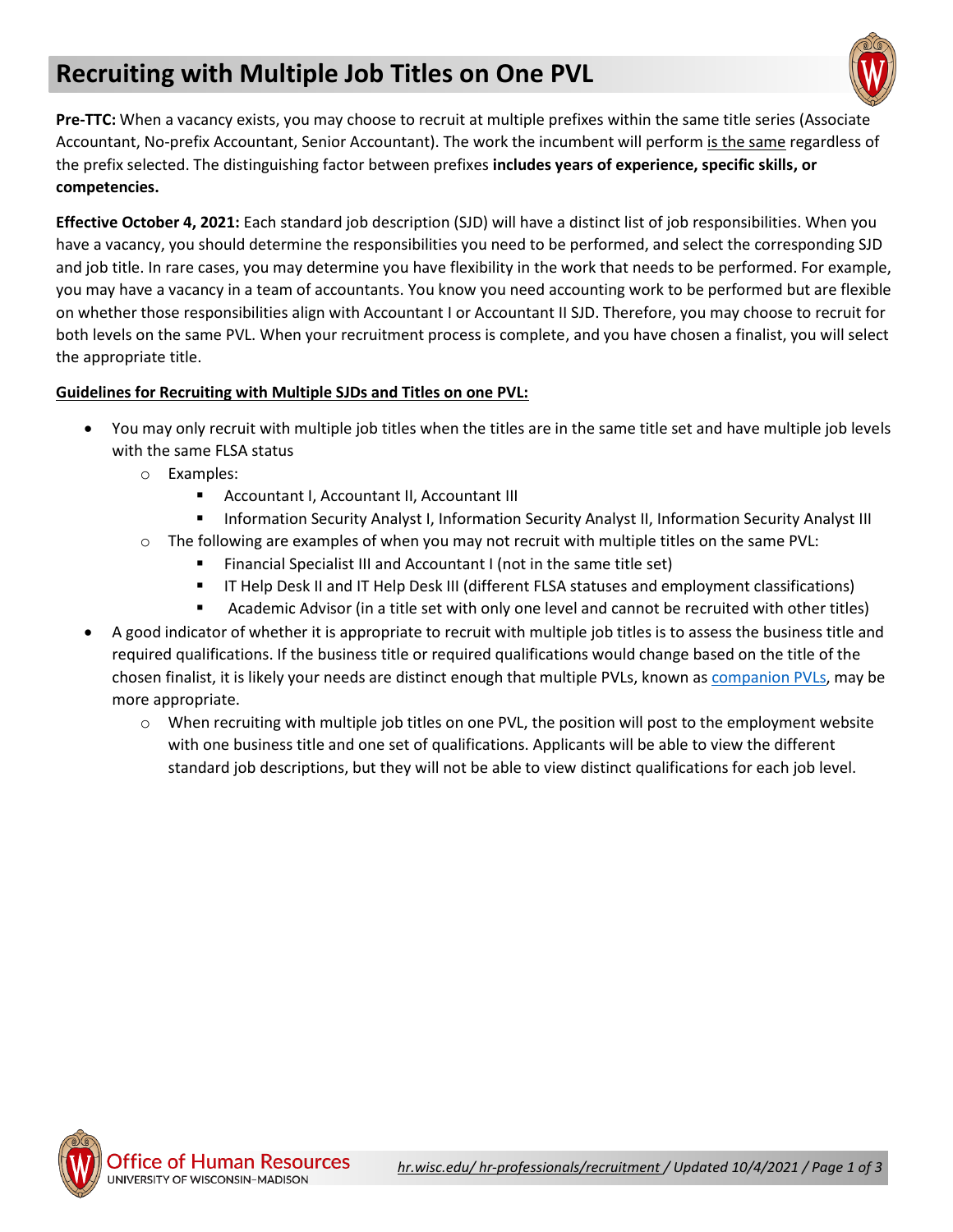## **Recruiting with Multiple Job Titles on One PVL**



**Pre-TTC:** When a vacancy exists, you may choose to recruit at multiple prefixes within the same title series (Associate Accountant, No-prefix Accountant, Senior Accountant). The work the incumbent will perform is the same regardless of the prefix selected. The distinguishing factor between prefixes **includes years of experience, specific skills, or competencies.**

**Effective October 4, 2021:** Each standard job description (SJD) will have a distinct list of job responsibilities. When you have a vacancy, you should determine the responsibilities you need to be performed, and select the corresponding SJD and job title. In rare cases, you may determine you have flexibility in the work that needs to be performed. For example, you may have a vacancy in a team of accountants. You know you need accounting work to be performed but are flexible on whether those responsibilities align with Accountant I or Accountant II SJD. Therefore, you may choose to recruit for both levels on the same PVL. When your recruitment process is complete, and you have chosen a finalist, you will select the appropriate title.

## **Guidelines for Recruiting with Multiple SJDs and Titles on one PVL:**

- You may only recruit with multiple job titles when the titles are in the same title set and have multiple job levels with the same FLSA status
	- o Examples:
		- Accountant I, Accountant II, Accountant III
		- **EXECUTE: Information Security Analyst I, Information Security Analyst II, Information Security Analyst III**
	- $\circ$  The following are examples of when you may not recruit with multiple titles on the same PVL:
		- Financial Specialist III and Accountant I (not in the same title set)
		- **IT Help Desk II and IT Help Desk III (different FLSA statuses and employment classifications)**
		- Academic Advisor (in a title set with only one level and cannot be recruited with other titles)
- A good indicator of whether it is appropriate to recruit with multiple job titles is to assess the business title and required qualifications. If the business title or required qualifications would change based on the title of the chosen finalist, it is likely your needs are distinct enough that multiple PVLs, known as [companion PVLs,](https://hr.wisc.edu/docs/recruitment/companion-pvls.pdf) may be more appropriate.
	- $\circ$  When recruiting with multiple job titles on one PVL, the position will post to the employment website with one business title and one set of qualifications. Applicants will be able to view the different standard job descriptions, but they will not be able to view distinct qualifications for each job level.



Office of Human Resources UNIVERSITY OF WISCONSIN-MADISON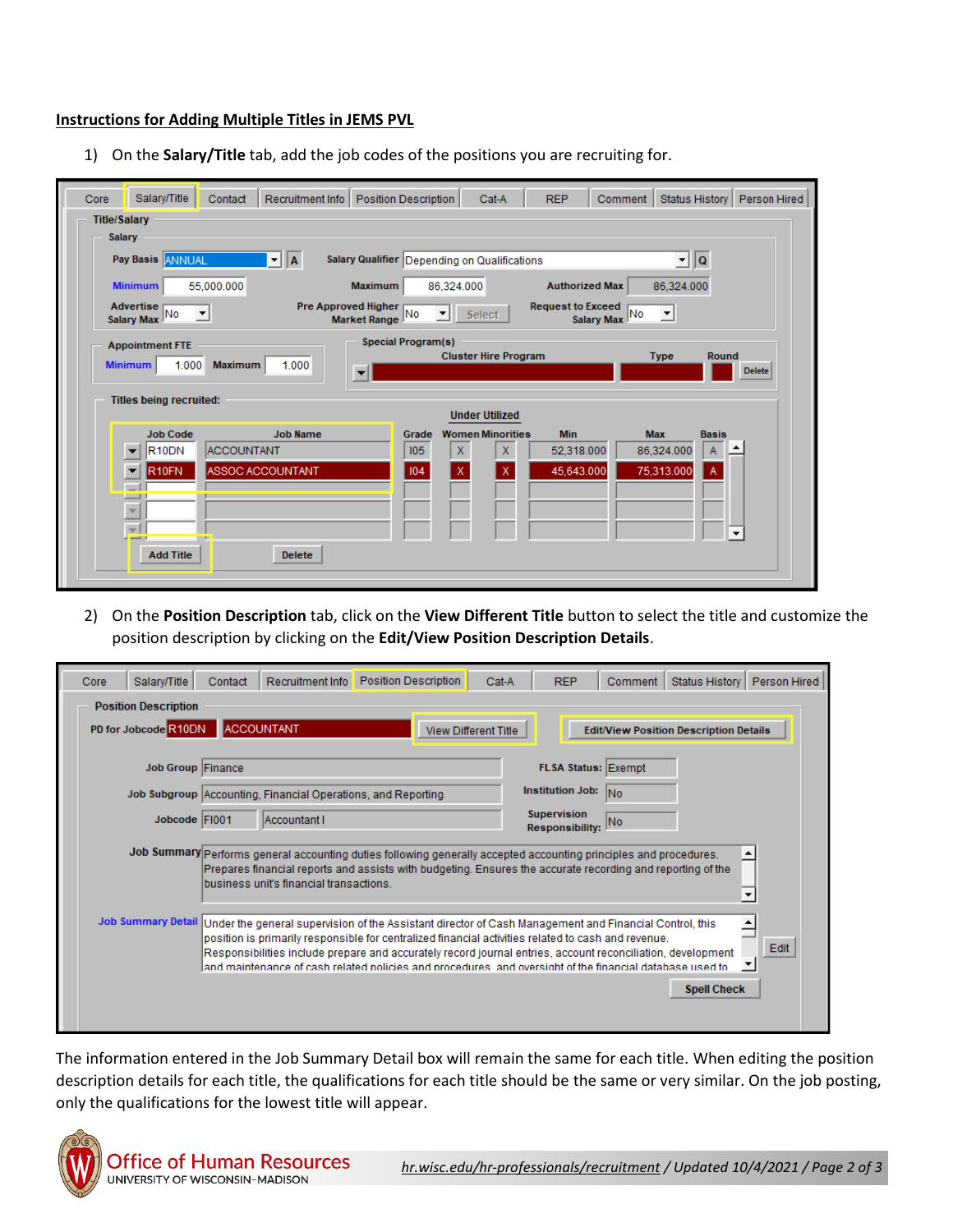## **Instructions for Adding Multiple Titles in JEMS PVL**

1) On the **Salary/Title** tab, add the job codes of the positions you are recruiting for.

| Salary/Title<br>Recruitment Info   Position Description<br>Contact<br>Core                       | <b>REP</b><br>Status History   Person Hired<br>Cat-A<br>Comment                                       |  |  |  |  |  |  |  |  |  |
|--------------------------------------------------------------------------------------------------|-------------------------------------------------------------------------------------------------------|--|--|--|--|--|--|--|--|--|
| <b>Title/Salary</b>                                                                              |                                                                                                       |  |  |  |  |  |  |  |  |  |
| <b>Salary</b>                                                                                    |                                                                                                       |  |  |  |  |  |  |  |  |  |
| Pay Basis ANNUAL<br>$\mathbf{v}$   A                                                             | Salary Qualifier Depending on Qualifications<br>∑∥Q                                                   |  |  |  |  |  |  |  |  |  |
| 55,000.000<br><b>Maximum</b><br><b>Minimum</b>                                                   | 86,324.000<br>86,324.000<br><b>Authorized Max</b>                                                     |  |  |  |  |  |  |  |  |  |
| Advertise<br>Pre Approved Higher<br>$\overline{\phantom{a}}$<br>Salary Max No<br>Market Range No | <b>Request to Exceed</b><br>$\blacktriangledown$<br>Select<br>Salary Max No<br>▾                      |  |  |  |  |  |  |  |  |  |
| <b>Special Program(s)</b><br><b>Appointment FTE</b>                                              |                                                                                                       |  |  |  |  |  |  |  |  |  |
| 1.000<br>1.000<br><b>Minimum</b><br><b>Maximum</b>                                               | <b>Cluster Hire Program</b><br><b>Type</b><br>Round<br><b>Delete</b>                                  |  |  |  |  |  |  |  |  |  |
| <b>Titles being recruited:</b>                                                                   |                                                                                                       |  |  |  |  |  |  |  |  |  |
| <b>Job Name</b><br><b>Job Code</b>                                                               | <b>Under Utilized</b><br><b>Min</b><br><b>Max</b><br><b>Women Minorities</b><br><b>Basis</b><br>Grade |  |  |  |  |  |  |  |  |  |
| R <sub>10</sub> DN<br><b>ACCOUNTANT</b>                                                          | $\mathsf X$<br>$\mathsf{X}$<br>105<br>86,324.000<br>52,318.000<br>A                                   |  |  |  |  |  |  |  |  |  |
| ASSOC ACCOUNTANT<br>R <sub>10FN</sub>                                                            | 104<br>$\mathsf{x}$<br>45,643.000<br>75,313.000<br>X<br>A                                             |  |  |  |  |  |  |  |  |  |
|                                                                                                  |                                                                                                       |  |  |  |  |  |  |  |  |  |
| w                                                                                                |                                                                                                       |  |  |  |  |  |  |  |  |  |
| $\mathbf{v}$<br><b>COLOR</b><br><b>CONTRACTOR</b>                                                |                                                                                                       |  |  |  |  |  |  |  |  |  |
| <b>Add Title</b><br><b>Delete</b>                                                                |                                                                                                       |  |  |  |  |  |  |  |  |  |
|                                                                                                  |                                                                                                       |  |  |  |  |  |  |  |  |  |

2) On the **Position Description** tab, click on the **View Different Title** button to select the title and customize the position description by clicking on the **Edit/View Position Description Details**.

| Core | Salary/Title                | Contact | Recruitment Info                                             | <b>Position Description</b>                                                                                                                                                                                                                                                                                                                                                                                                              | Cat-A                       | <b>REP</b>                                   | Comment                    | Status History                                | Person Hired |
|------|-----------------------------|---------|--------------------------------------------------------------|------------------------------------------------------------------------------------------------------------------------------------------------------------------------------------------------------------------------------------------------------------------------------------------------------------------------------------------------------------------------------------------------------------------------------------------|-----------------------------|----------------------------------------------|----------------------------|-----------------------------------------------|--------------|
|      | <b>Position Description</b> |         |                                                              |                                                                                                                                                                                                                                                                                                                                                                                                                                          |                             |                                              |                            |                                               |              |
|      | PD for Jobcode R10DN        |         | <b>ACCOUNTANT</b>                                            |                                                                                                                                                                                                                                                                                                                                                                                                                                          | <b>View Different Title</b> |                                              |                            | <b>Edit/View Position Description Details</b> |              |
|      | Job Group Finance           |         |                                                              |                                                                                                                                                                                                                                                                                                                                                                                                                                          |                             |                                              | <b>FLSA Status: Exempt</b> |                                               |              |
|      |                             |         |                                                              |                                                                                                                                                                                                                                                                                                                                                                                                                                          |                             | <b>Institution Job:</b>                      |                            |                                               |              |
|      |                             |         | Job Subgroup Accounting, Financial Operations, and Reporting |                                                                                                                                                                                                                                                                                                                                                                                                                                          |                             |                                              | <b>INo</b>                 |                                               |              |
|      | Jobcode FI001               |         | Accountant I                                                 |                                                                                                                                                                                                                                                                                                                                                                                                                                          |                             | <b>Supervision</b><br><b>Responsibility:</b> | No                         |                                               |              |
|      |                             |         | business unif's financial transactions                       | Job Summary Performs general accounting duties following generally accepted accounting principles and procedures.<br>Prepares financial reports and assists with budgeting. Ensures the accurate recording and reporting of the                                                                                                                                                                                                          |                             |                                              |                            |                                               |              |
|      | <b>Job Summary Detail</b>   |         |                                                              | Under the general supervision of the Assistant director of Cash Management and Financial Control, this<br>position is primarily responsible for centralized financial activities related to cash and revenue.<br>Responsibilities include prepare and accurately record journal entries, account reconciliation, development<br>and maintenance of cash related policies and procedures, and oversight of the financial database used to |                             |                                              |                            |                                               | Edit         |
|      |                             |         |                                                              |                                                                                                                                                                                                                                                                                                                                                                                                                                          |                             |                                              |                            | <b>Spell Check</b>                            |              |

The information entered in the Job Summary Detail box will remain the same for each title. When editing the position description details for each title, the qualifications for each title should be the same or very similar. On the job posting, only the qualifications for the lowest title will appear.